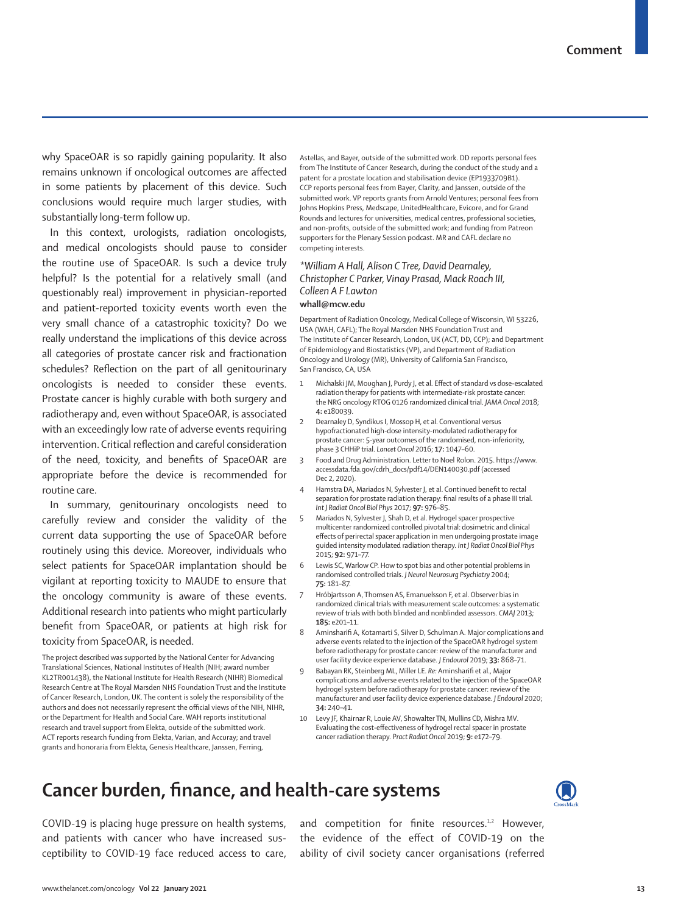why SpaceOAR is so rapidly gaining popularity. It also remains unknown if oncological outcomes are affected in some patients by placement of this device. Such conclusions would require much larger studies, with substantially long-term follow up.

In this context, urologists, radiation oncologists, and medical oncologists should pause to consider the routine use of SpaceOAR. Is such a device truly helpful? Is the potential for a relatively small (and questionably real) improvement in physician-reported and patient-reported toxicity events worth even the very small chance of a catastrophic toxicity? Do we really understand the implications of this device across all categories of prostate cancer risk and fractionation schedules? Reflection on the part of all genitourinary oncologists is needed to consider these events. Prostate cancer is highly curable with both surgery and radiotherapy and, even without SpaceOAR, is associated with an exceedingly low rate of adverse events requiring intervention. Critical reflection and careful consideration of the need, toxicity, and benefits of SpaceOAR are appropriate before the device is recommended for routine care.

In summary, genitourinary oncologists need to carefully review and consider the validity of the current data supporting the use of SpaceOAR before routinely using this device. Moreover, individuals who select patients for SpaceOAR implantation should be vigilant at reporting toxicity to MAUDE to ensure that the oncology community is aware of these events. Additional research into patients who might particularly benefit from SpaceOAR, or patients at high risk for toxicity from SpaceOAR, is needed.

The project described was supported by the National Center for Advancing Translational Sciences, National Institutes of Health (NIH; award number KL2TR001438), the National Institute for Health Research (NIHR) Biomedical Research Centre at The Royal Marsden NHS Foundation Trust and the Institute of Cancer Research, London, UK. The content is solely the responsibility of the authors and does not necessarily represent the official views of the NIH, NIHR, or the Department for Health and Social Care. WAH reports institutional research and travel support from Elekta, outside of the submitted work. ACT reports research funding from Elekta, Varian, and Accuray; and travel grants and honoraria from Elekta, Genesis Healthcare, Janssen, Ferring,

Astellas, and Bayer, outside of the submitted work. DD reports personal fees from The Institute of Cancer Research, during the conduct of the study and a patent for a prostate location and stabilisation device (EP1933709B1). CCP reports personal fees from Bayer, Clarity, and Janssen, outside of the submitted work. VP reports grants from Arnold Ventures; personal fees from Johns Hopkins Press, Medscape, UnitedHealthcare, Evicore, and for Grand Rounds and lectures for universities, medical centres, professional societies, and non-profits, outside of the submitted work; and funding from Patreon supporters for the Plenary Session podcast. MR and CAFL declare no competing interests.

## *\*William A Hall, Alison C Tree, David Dearnaley, Christopher C Parker, Vinay Prasad, Mack Roach III, Colleen A F Lawton* **whall@mcw.edu**

Department of Radiation Oncology, Medical College of Wisconsin, WI 53226, USA (WAH, CAFL); The Royal Marsden NHS Foundation Trust and The Institute of Cancer Research, London, UK (ACT, DD, CCP); and Department of Epidemiology and Biostatistics (VP), and Department of Radiation Oncology and Urology (MR), University of California San Francisco, San Francisco, CA, USA

- Michalski JM, Moughan J, Purdy J, et al. Effect of standard vs dose-escalated radiation therapy for patients with intermediate-risk prostate cancer: the NRG oncology RTOG 0126 randomized clinical trial. *JAMA Oncol* 2018; **4:** e180039.
- 2 Dearnaley D, Syndikus I, Mossop H, et al. Conventional versus hypofractionated high-dose intensity-modulated radiotherapy for prostate cancer: 5-year outcomes of the randomised, non-inferiority, phase 3 CHHiP trial. *Lancet Oncol* 2016; **17:** 1047–60.
- 3 Food and Drug Administration. Letter to Noel Rolon. 2015. https://www. accessdata.fda.gov/cdrh\_docs/pdf14/DEN140030.pdf (accessed Dec 2, 2020).
- Hamstra DA, Mariados N, Sylvester J, et al. Continued benefit to rectal separation for prostate radiation therapy: final results of a phase III trial. *Int J Radiat Oncol Biol Phys* 2017; **97:** 976–85.
- 5 Mariados N, Sylvester J, Shah D, et al. Hydrogel spacer prospective multicenter randomized controlled pivotal trial: dosimetric and clinical effects of perirectal spacer application in men undergoing prostate image guided intensity modulated radiation therapy. *Int J Radiat Oncol Biol Phys* 2015; **92:** 971–77.
- Lewis SC, Warlow CP. How to spot bias and other potential problems in randomised controlled trials. *J Neurol Neurosurg Psychiatry* 2004; **75:** 181–87.
- Hróbjartsson A, Thomsen AS, Emanuelsson F, et al. Observer bias in randomized clinical trials with measurement scale outcomes: a systematic review of trials with both blinded and nonblinded assessors. *CMAJ* 2013; **185:** e201–11.
- 8 Aminsharifi A, Kotamarti S, Silver D, Schulman A. Major complications and adverse events related to the injection of the SpaceOAR hydrogel system before radiotherapy for prostate cancer: review of the manufacturer and user facility device experience database. *J Endourol* 2019; **33:** 868–71.
- 9 Babayan RK, Steinberg ML, Miller LE. *Re:* Aminsharifi et al., Major complications and adverse events related to the injection of the SpaceOAR hydrogel system before radiotherapy for prostate cancer: review of the manufacturer and user facility device experience database. *J Endourol* 2020; **34:** 240–41.
- 10 Levy JF, Khairnar R, Louie AV, Showalter TN, Mullins CD, Mishra MV. Evaluating the cost-effectiveness of hydrogel rectal spacer in prostate cancer radiation therapy. *Pract Radiat Oncol* 2019; **9:** e172–79.

## **Cancer burden, finance, and health-care systems**



COVID-19 is placing huge pressure on health systems, and patients with cancer who have increased susceptibility to COVID-19 face reduced access to care, and competition for finite resources.<sup>1,2</sup> However, the evidence of the effect of COVID-19 on the ability of civil society cancer organisations (referred